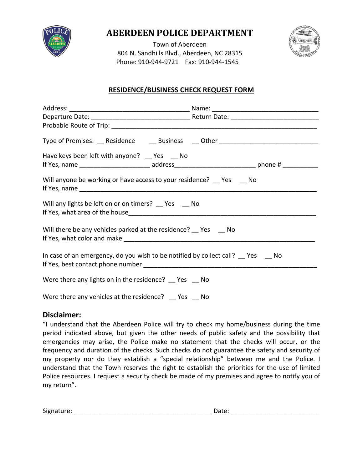

# **ABERDEEN POLICE DEPARTMENT**

Town of Aberdeen 804 N. Sandhills Blvd., Aberdeen, NC 28315 Phone: 910-944-9721 Fax: 910-944-1545



# **RESIDENCE/BUSINESS CHECK REQUEST FORM**

| Type of Premises: __ Residence ____ Business ___ Other _________________________ |  |
|----------------------------------------------------------------------------------|--|
| Have keys been left with anyone? Pes Allo                                        |  |
| Will anyone be working or have access to your residence? Thes Theodor            |  |
| Will any lights be left on or on timers? __ Yes __ No                            |  |
| Will there be any vehicles parked at the residence? Pes Allo                     |  |
| In case of an emergency, do you wish to be notified by collect call? Yes No      |  |
| Were there any lights on in the residence? Thes Theory                           |  |
| Were there any vehicles at the residence? Yes No                                 |  |

### **Disclaimer:**

"I understand that the Aberdeen Police will try to check my home/business during the time period indicated above, but given the other needs of public safety and the possibility that emergencies may arise, the Police make no statement that the checks will occur, or the frequency and duration of the checks. Such checks do not guarantee the safety and security of my property nor do they establish a "special relationship" between me and the Police. I understand that the Town reserves the right to establish the priorities for the use of limited Police resources. I request a security check be made of my premises and agree to notify you of my return".

| $\sim$<br><b>SIP</b> |  |  |
|----------------------|--|--|
|----------------------|--|--|